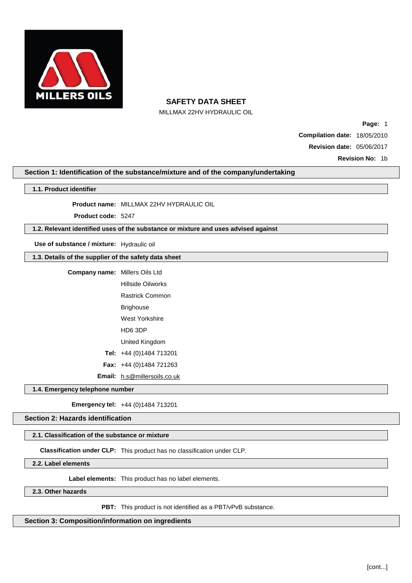

MILLMAX 22HV HYDRAULIC OIL

**Page:** 1 **Compilation date:** 18/05/2010 **Revision date:** 05/06/2017

**Revision No:** 1b

### **Section 1: Identification of the substance/mixture and of the company/undertaking**

#### **1.1. Product identifier**

**Product name:** MILLMAX 22HV HYDRAULIC OIL

**Product code:** 5247

## **1.2. Relevant identified uses of the substance or mixture and uses advised against**

**Use of substance / mixture:** Hydraulic oil

**1.3. Details of the supplier of the safety data sheet**

| <b>Company name:</b> | Millers Oils Ltd                    |
|----------------------|-------------------------------------|
|                      | Hillside Oilworks                   |
|                      | Rastrick Common                     |
|                      | Brighouse                           |
|                      | West Yorkshire                      |
|                      | HD6 3DP                             |
|                      | United Kingdom                      |
|                      | Tel: $+44(0)1484713201$             |
|                      | <b>Fax:</b> $+44$ (0)1484 721263    |
|                      | <b>Email:</b> h.s@millersoils.co.uk |

**1.4. Emergency telephone number**

**Emergency tel:** +44 (0)1484 713201

**Section 2: Hazards identification**

# **2.1. Classification of the substance or mixture**

**Classification under CLP:** This product has no classification under CLP.

**2.2. Label elements**

**Label elements:** This product has no label elements.

**2.3. Other hazards**

**PBT:** This product is not identified as a PBT/vPvB substance.

**Section 3: Composition/information on ingredients**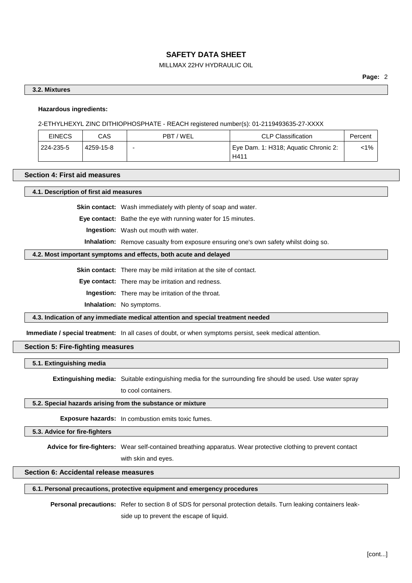# MILLMAX 22HV HYDRAULIC OIL

# **3.2. Mixtures**

# **Hazardous ingredients:**

2-ETHYLHEXYL ZINC DITHIOPHOSPHATE - REACH registered number(s): 01-2119493635-27-XXXX

| Percent |
|---------|
| <1%     |
|         |

#### **Section 4: First aid measures**

**4.1. Description of first aid measures**

**Skin contact:** Wash immediately with plenty of soap and water.

**Eye contact:** Bathe the eye with running water for 15 minutes.

**Ingestion:** Wash out mouth with water.

**Inhalation:** Remove casualty from exposure ensuring one's own safety whilst doing so.

## **4.2. Most important symptoms and effects, both acute and delayed**

**Skin contact:** There may be mild irritation at the site of contact.

**Eye contact:** There may be irritation and redness.

**Ingestion:** There may be irritation of the throat.

**Inhalation:** No symptoms.

**4.3. Indication of any immediate medical attention and special treatment needed**

**Immediate / special treatment:** In all cases of doubt, or when symptoms persist, seek medical attention.

#### **Section 5: Fire-fighting measures**

**5.1. Extinguishing media**

**Extinguishing media:** Suitable extinguishing media for the surrounding fire should be used. Use water spray to cool containers.

#### **5.2. Special hazards arising from the substance or mixture**

**Exposure hazards:** In combustion emits toxic fumes.

#### **5.3. Advice for fire-fighters**

**Advice for fire-fighters:** Wear self-contained breathing apparatus. Wear protective clothing to prevent contact

with skin and eyes.

#### **Section 6: Accidental release measures**

## **6.1. Personal precautions, protective equipment and emergency procedures**

**Personal precautions:** Refer to section 8 of SDS for personal protection details. Turn leaking containers leak-

side up to prevent the escape of liquid.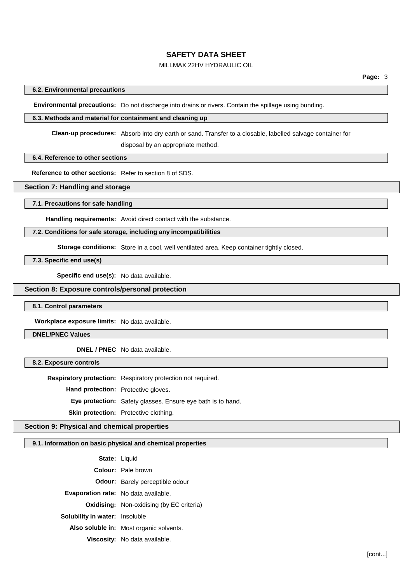# MILLMAX 22HV HYDRAULIC OIL

## **6.2. Environmental precautions**

**Environmental precautions:** Do not discharge into drains or rivers. Contain the spillage using bunding.

#### **6.3. Methods and material for containment and cleaning up**

**Clean-up procedures:** Absorb into dry earth or sand. Transfer to a closable, labelled salvage container for

disposal by an appropriate method.

## **6.4. Reference to other sections**

**Reference to other sections:** Refer to section 8 of SDS.

# **Section 7: Handling and storage**

**7.1. Precautions for safe handling**

**Handling requirements:** Avoid direct contact with the substance.

## **7.2. Conditions for safe storage, including any incompatibilities**

**Storage conditions:** Store in a cool, well ventilated area. Keep container tightly closed.

**7.3. Specific end use(s)**

**Specific end use(s):** No data available.

## **Section 8: Exposure controls/personal protection**

**8.1. Control parameters**

**Workplace exposure limits:** No data available.

## **DNEL/PNEC Values**

**DNEL / PNEC** No data available.

**8.2. Exposure controls**

**Respiratory protection:** Respiratory protection not required.

**Hand protection:** Protective gloves.

**Eye protection:** Safety glasses. Ensure eye bath is to hand.

**Skin protection:** Protective clothing.

## **Section 9: Physical and chemical properties**

## **9.1. Information on basic physical and chemical properties**

| <b>State: Liquid</b>                        |                                                  |
|---------------------------------------------|--------------------------------------------------|
|                                             | <b>Colour:</b> Pale brown                        |
|                                             | <b>Odour:</b> Barely perceptible odour           |
| <b>Evaporation rate:</b> No data available. |                                                  |
|                                             | <b>Oxidising:</b> Non-oxidising (by EC criteria) |
| <b>Solubility in water:</b> Insoluble       |                                                  |
|                                             | Also soluble in: Most organic solvents.          |
|                                             | Viscosity: No data available.                    |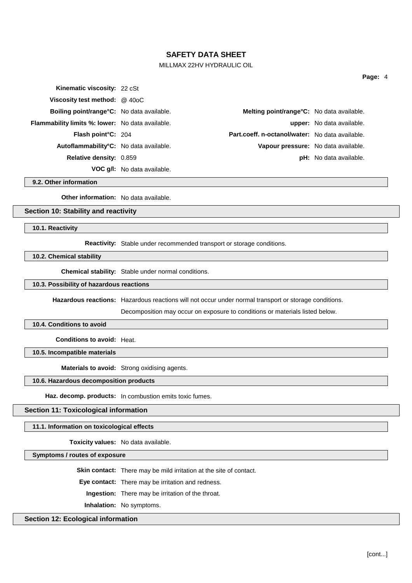# MILLMAX 22HV HYDRAULIC OIL

| <b>Kinematic viscosity: 22 cSt</b>                  |                                    |                                                  |                               |
|-----------------------------------------------------|------------------------------------|--------------------------------------------------|-------------------------------|
| Viscosity test method: $@$ 40oC                     |                                    |                                                  |                               |
| <b>Boiling point/range °C:</b> No data available.   |                                    | <b>Melting point/range°C:</b> No data available. |                               |
| Flammability limits %: lower: No data available.    |                                    |                                                  | upper: No data available.     |
| <b>Flash point C: 204</b>                           |                                    | Part.coeff. n-octanol/water: No data available.  |                               |
| Autoflammability <sup>°</sup> C: No data available. |                                    | Vapour pressure: No data available.              |                               |
| <b>Relative density: 0.859</b>                      |                                    |                                                  | <b>pH:</b> No data available. |
|                                                     | <b>VOC g/l:</b> No data available. |                                                  |                               |

**9.2. Other information**

**Other information:** No data available.

# **Section 10: Stability and reactivity**

**10.1. Reactivity**

**Reactivity:** Stable under recommended transport or storage conditions.

**10.2. Chemical stability**

**Chemical stability:** Stable under normal conditions.

**10.3. Possibility of hazardous reactions**

**Hazardous reactions:** Hazardous reactions will not occur under normal transport or storage conditions.

Decomposition may occur on exposure to conditions or materials listed below.

#### **10.4. Conditions to avoid**

**Conditions to avoid:** Heat.

**10.5. Incompatible materials**

**Materials to avoid:** Strong oxidising agents.

## **10.6. Hazardous decomposition products**

**Haz. decomp. products:** In combustion emits toxic fumes.

### **Section 11: Toxicological information**

**11.1. Information on toxicological effects**

**Toxicity values:** No data available.

**Symptoms / routes of exposure**

**Skin contact:** There may be mild irritation at the site of contact.

**Eye contact:** There may be irritation and redness.

**Ingestion:** There may be irritation of the throat.

**Inhalation:** No symptoms.

### **Section 12: Ecological information**

[cont...]

**Page:** 4